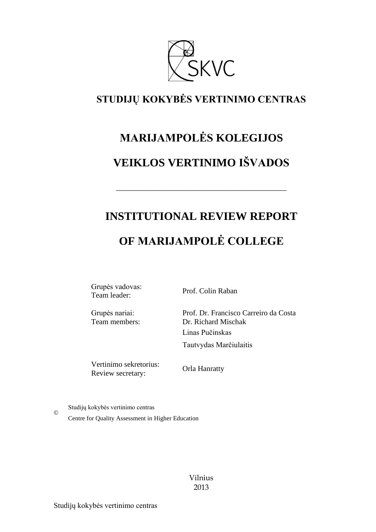

### **STUDIJŲ KOKYBĖS VERTINIMO CENTRAS**

# **MARIJAMPOLĖS KOLEGIJOS VEIKLOS VERTINIMO IŠVADOS**

# **INSTITUTIONAL REVIEW REPORT**

––––––––––––––––––––––––––––––

## **OF MARIJAMPOLĖ COLLEGE**

Grupės vadovas: Team leader: Prof. Colin Raban

Grupės nariai: Team members: Prof. Dr. Francisco Carreiro da Costa Dr. Richard Mischak Linas Pučinskas Tautvydas Marčiulaitis

Vertinimo sekretorius: Review secretary:

Orla Hanratty

Studijų kokybės vertinimo centras

©

Centre for Quality Assessment in Higher Education

Vilnius 2013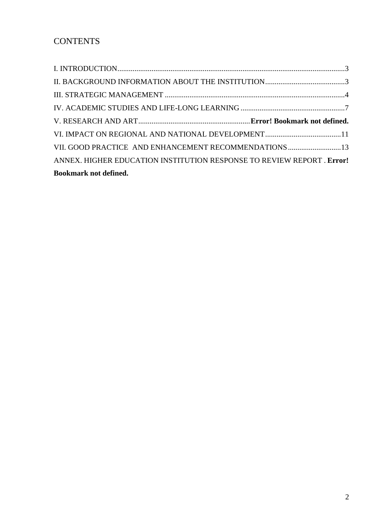| VII. GOOD PRACTICE AND ENHANCEMENT RECOMMENDATIONS 13                  |  |
|------------------------------------------------------------------------|--|
| ANNEX. HIGHER EDUCATION INSTITUTION RESPONSE TO REVIEW REPORT . Error! |  |
| <b>Bookmark not defined.</b>                                           |  |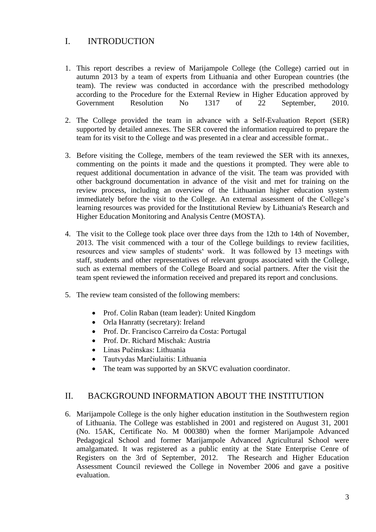#### <span id="page-2-0"></span>I. INTRODUCTION

- 1. This report describes a review of Marijampole College (the College) carried out in autumn 2013 by a team of experts from Lithuania and other European countries (the team). The review was conducted in accordance with the prescribed methodology according to the Procedure for the External Review in Higher Education approved by Government Resolution No 1317 of 22 September, 2010.
- 2. The College provided the team in advance with a Self-Evaluation Report (SER) supported by detailed annexes. The SER covered the information required to prepare the team for its visit to the College and was presented in a clear and accessible format..
- 3. Before visiting the College, members of the team reviewed the SER with its annexes, commenting on the points it made and the questions it prompted. They were able to request additional documentation in advance of the visit. The team was provided with other background documentation in advance of the visit and met for training on the review process, including an overview of the Lithuanian higher education system immediately before the visit to the College. An external assessment of the College's learning resources was provided for the Institutional Review by Lithuania's Research and Higher Education Monitoring and Analysis Centre (MOSTA).
- 4. The visit to the College took place over three days from the 12th to 14th of November, 2013. The visit commenced with a tour of the College buildings to review facilities, resources and view samples of students' work. It was followed by 13 meetings with staff, students and other representatives of relevant groups associated with the College, such as external members of the College Board and social partners. After the visit the team spent reviewed the information received and prepared its report and conclusions.
- 5. The review team consisted of the following members:
	- Prof. Colin Raban (team leader): United Kingdom
	- Orla Hanratty (secretary): Ireland
	- Prof. Dr. Francisco Carreiro da Costa: Portugal
	- Prof. Dr. Richard Mischak: Austria
	- Linas Pučinskas: Lithuania
	- Tautvydas Marčiulaitis: Lithuania
	- The team was supported by an SKVC evaluation coordinator.

#### <span id="page-2-1"></span>II. BACKGROUND INFORMATION ABOUT THE INSTITUTION

6. Marijampole College is the only higher education institution in the Southwestern region of Lithuania. The College was established in 2001 and registered on August 31, 2001 (No. 15AK, Certificate No. M 000380) when the former Marijampole Advanced Pedagogical School and former Marijampole Advanced Agricultural School were amalgamated. It was registered as a public entity at the State Enterprise Cenre of Registers on the 3rd of September, 2012. The Research and Higher Education Assessment Council reviewed the College in November 2006 and gave a positive evaluation.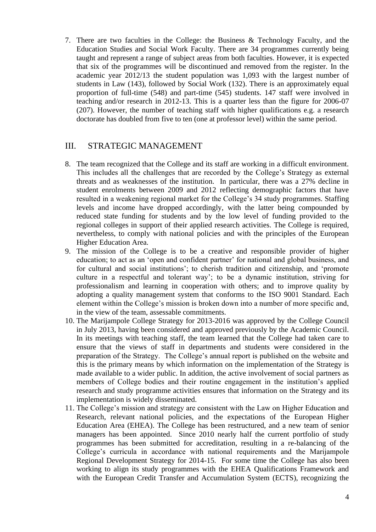7. There are two faculties in the College: the Business & Technology Faculty, and the Education Studies and Social Work Faculty. There are 34 programmes currently being taught and represent a range of subject areas from both faculties. However, it is expected that six of the programmes will be discontinued and removed from the register. In the academic year 2012/13 the student population was 1,093 with the largest number of students in Law (143), followed by Social Work (132). There is an approximately equal proportion of full-time (548) and part-time (545) students. 147 staff were involved in teaching and/or research in 2012-13. This is a quarter less than the figure for 2006-07 (207). However, the number of teaching staff with higher qualifications e.g. a research doctorate has doubled from five to ten (one at professor level) within the same period.

#### <span id="page-3-0"></span>III. STRATEGIC MANAGEMENT

- 8. The team recognized that the College and its staff are working in a difficult environment. This includes all the challenges that are recorded by the College's Strategy as external threats and as weaknesses of the institution. In particular, there was a 27% decline in student enrolments between 2009 and 2012 reflecting demographic factors that have resulted in a weakening regional market for the College's 34 study programmes. Staffing levels and income have dropped accordingly, with the latter being compounded by reduced state funding for students and by the low level of funding provided to the regional colleges in support of their applied research activities. The College is required, nevertheless, to comply with national policies and with the principles of the European Higher Education Area.
- 9. The mission of the College is to be a creative and responsible provider of higher education; to act as an 'open and confident partner' for national and global business, and for cultural and social institutions'; to cherish tradition and citizenship, and 'promote culture in a respectful and tolerant way'; to be a dynamic institution, striving for professionalism and learning in cooperation with others; and to improve quality by adopting a quality management system that conforms to the ISO 9001 Standard. Each element within the College's mission is broken down into a number of more specific and, in the view of the team, assessable commitments.
- 10. The Marijampole College Strategy for 2013-2016 was approved by the College Council in July 2013, having been considered and approved previously by the Academic Council. In its meetings with teaching staff, the team learned that the College had taken care to ensure that the views of staff in departments and students were considered in the preparation of the Strategy. The College's annual report is published on the website and this is the primary means by which information on the implementation of the Strategy is made available to a wider public. In addition, the active involvement of social partners as members of College bodies and their routine engagement in the institution's applied research and study programme activities ensures that information on the Strategy and its implementation is widely disseminated.
- 11. The College's mission and strategy are consistent with the Law on Higher Education and Research, relevant national policies, and the expectations of the European Higher Education Area (EHEA). The College has been restructured, and a new team of senior managers has been appointed. Since 2010 nearly half the current portfolio of study programmes has been submitted for accreditation, resulting in a re-balancing of the College's curricula in accordance with national requirements and the Marijampole Regional Development Strategy for 2014-15. For some time the College has also been working to align its study programmes with the EHEA Qualifications Framework and with the European Credit Transfer and Accumulation System (ECTS), recognizing the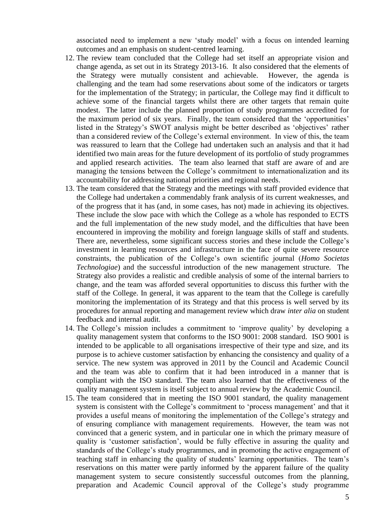associated need to implement a new 'study model' with a focus on intended learning outcomes and an emphasis on student-centred learning.

- 12. The review team concluded that the College had set itself an appropriate vision and change agenda, as set out in its Strategy 2013-16. It also considered that the elements of the Strategy were mutually consistent and achievable. However, the agenda is challenging and the team had some reservations about some of the indicators or targets for the implementation of the Strategy; in particular, the College may find it difficult to achieve some of the financial targets whilst there are other targets that remain quite modest. The latter include the planned proportion of study programmes accredited for the maximum period of six years. Finally, the team considered that the 'opportunities' listed in the Strategy's SWOT analysis might be better described as 'objectives' rather than a considered review of the College's external environment. In view of this, the team was reassured to learn that the College had undertaken such an analysis and that it had identified two main areas for the future development of its portfolio of study programmes and applied research activities. The team also learned that staff are aware of and are managing the tensions between the College's commitment to internationalization and its accountability for addressing national priorities and regional needs.
- 13. The team considered that the Strategy and the meetings with staff provided evidence that the College had undertaken a commendably frank analysis of its current weaknesses, and of the progress that it has (and, in some cases, has not) made in achieving its objectives. These include the slow pace with which the College as a whole has responded to ECTS and the full implementation of the new study model, and the difficulties that have been encountered in improving the mobility and foreign language skills of staff and students. There are, nevertheless, some significant success stories and these include the College's investment in learning resources and infrastructure in the face of quite severe resource constraints, the publication of the College's own scientific journal (*Homo Societas Technologiae*) and the successful introduction of the new management structure. The Strategy also provides a realistic and credible analysis of some of the internal barriers to change, and the team was afforded several opportunities to discuss this further with the staff of the College. In general, it was apparent to the team that the College is carefully monitoring the implementation of its Strategy and that this process is well served by its procedures for annual reporting and management review which draw *inter alia* on student feedback and internal audit.
- 14. The College's mission includes a commitment to 'improve quality' by developing a quality management system that conforms to the ISO 9001: 2008 standard. ISO 9001 is intended to be applicable to all organisations irrespective of their type and size, and its purpose is to achieve customer satisfaction by enhancing the consistency and quality of a service. The new system was approved in 2011 by the Council and Academic Council and the team was able to confirm that it had been introduced in a manner that is compliant with the ISO standard. The team also learned that the effectiveness of the quality management system is itself subject to annual review by the Academic Council.
- 15. The team considered that in meeting the ISO 9001 standard, the quality management system is consistent with the College's commitment to 'process management' and that it provides a useful means of monitoring the implementation of the College's strategy and of ensuring compliance with management requirements. However, the team was not convinced that a generic system, and in particular one in which the primary measure of quality is 'customer satisfaction', would be fully effective in assuring the quality and standards of the College's study programmes, and in promoting the active engagement of teaching staff in enhancing the quality of students' learning opportunities. The team's reservations on this matter were partly informed by the apparent failure of the quality management system to secure consistently successful outcomes from the planning, preparation and Academic Council approval of the College's study programme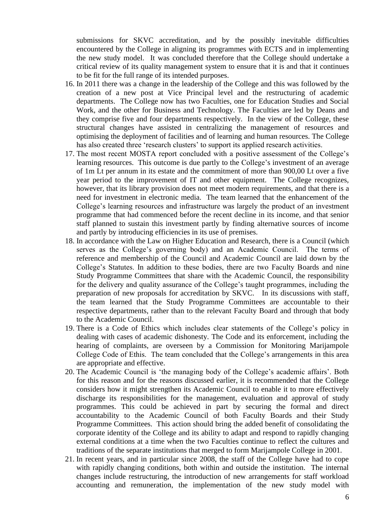submissions for SKVC accreditation, and by the possibly inevitable difficulties encountered by the College in aligning its programmes with ECTS and in implementing the new study model. It was concluded therefore that the College should undertake a critical review of its quality management system to ensure that it is and that it continues to be fit for the full range of its intended purposes.

- 16. In 2011 there was a change in the leadership of the College and this was followed by the creation of a new post at Vice Principal level and the restructuring of academic departments. The College now has two Faculties, one for Education Studies and Social Work, and the other for Business and Technology. The Faculties are led by Deans and they comprise five and four departments respectively. In the view of the College, these structural changes have assisted in centralizing the management of resources and optimising the deployment of facilities and of learning and human resources. The College has also created three 'research clusters' to support its applied research activities.
- 17. The most recent MOSTA report concluded with a positive assessment of the College's learning resources. This outcome is due partly to the College's investment of an average of 1m Lt per annum in its estate and the commitment of more than 900,00 Lt over a five year period to the improvement of IT and other equipment. The College recognizes, however, that its library provision does not meet modern requirements, and that there is a need for investment in electronic media. The team learned that the enhancement of the College's learning resources and infrastructure was largely the product of an investment programme that had commenced before the recent decline in its income, and that senior staff planned to sustain this investment partly by finding alternative sources of income and partly by introducing efficiencies in its use of premises.
- 18. In accordance with the Law on Higher Education and Research, there is a Council (which serves as the College's governing body) and an Academic Council. The terms of reference and membership of the Council and Academic Council are laid down by the College's Statutes. In addition to these bodies, there are two Faculty Boards and nine Study Programme Committees that share with the Academic Council, the responsibility for the delivery and quality assurance of the College's taught programmes, including the preparation of new proposals for accreditation by SKVC. In its discussions with staff, the team learned that the Study Programme Committees are accountable to their respective departments, rather than to the relevant Faculty Board and through that body to the Academic Council.
- 19. There is a Code of Ethics which includes clear statements of the College's policy in dealing with cases of academic dishonesty. The Code and its enforcement, including the hearing of complaints, are overseen by a Commission for Monitoring Marijampole College Code of Ethis. The team concluded that the College's arrangements in this area are appropriate and effective.
- 20. The Academic Council is 'the managing body of the College's academic affairs'. Both for this reason and for the reasons discussed earlier, it is recommended that the College considers how it might strengthen its Academic Council to enable it to more effectively discharge its responsibilities for the management, evaluation and approval of study programmes. This could be achieved in part by securing the formal and direct accountability to the Academic Council of both Faculty Boards and their Study Programme Committees. This action should bring the added benefit of consolidating the corporate identity of the College and its ability to adapt and respond to rapidly changing external conditions at a time when the two Faculties continue to reflect the cultures and traditions of the separate institutions that merged to form Marijampole College in 2001.
- 21. In recent years, and in particular since 2008, the staff of the College have had to cope with rapidly changing conditions, both within and outside the institution. The internal changes include restructuring, the introduction of new arrangements for staff workload accounting and remuneration, the implementation of the new study model with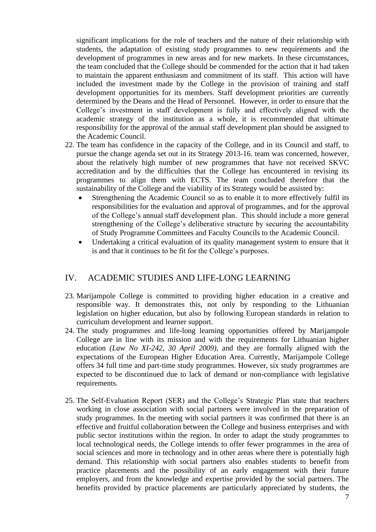significant implications for the role of teachers and the nature of their relationship with students, the adaptation of existing study programmes to new requirements and the development of programmes in new areas and for new markets. In these circumstances, the team concluded that the College should be commended for the action that it had taken to maintain the apparent enthusiasm and commitment of its staff. This action will have included the investment made by the College in the provision of training and staff development opportunities for its members. Staff development priorities are currently determined by the Deans and the Head of Personnel. However, in order to ensure that the College's investment in staff development is fully and effectively aligned with the academic strategy of the institution as a whole, it is recommended that ultimate responsibility for the approval of the annual staff development plan should be assigned to the Academic Council.

- 22. The team has confidence in the capacity of the College, and in its Council and staff, to pursue the change agenda set out in its Strategy 2013-16. team was concerned, however, about the relatively high number of new programmes that have not received SKVC accreditation and by the difficulties that the College has encountered in revising its programmes to align them with ECTS. The team concluded therefore that the sustainability of the College and the viability of its Strategy would be assisted by:
	- Strengthening the Academic Council so as to enable it to more effectively fulfil its responsibilities for the evaluation and approval of programmes, and for the approval of the College's annual staff development plan. This should include a more general strengthening of the College's deliberative structure by securing the accountability of Study Programme Committees and Faculty Councils to the Academic Council.
	- Undertaking a critical evaluation of its quality management system to ensure that it is and that it continues to be fit for the College's purposes.

#### <span id="page-6-0"></span>IV. ACADEMIC STUDIES AND LIFE-LONG LEARNING

- 23. Marijampole College is committed to providing higher education in a creative and responsible way. It demonstrates this, not only by responding to the Lithuanian legislation on higher education, but also by following European standards in relation to curriculum development and learner support.
- 24. The study programmes and life-long learning opportunities offered by Marijampole College are in line with its mission and with the requirements for Lithuanian higher education *(Law No XI-242, 30 April 2009)*, and they are formally aligned with the expectations of the European Higher Education Area. Currently, Marijampole College offers 34 full time and part-time study programmes. However, six study programmes are expected to be discontinued due to lack of demand or non-compliance with legislative requirements.
- 25. The Self-Evaluation Report (SER) and the College's Strategic Plan state that teachers working in close association with social partners were involved in the preparation of study programmes. In the meeting with social partners it was confirmed that there is an effective and fruitful collaboration between the College and business enterprises and with public sector institutions within the region. In order to adapt the study programmes to local technological needs, the College intends to offer fewer programmes in the area of social sciences and more in technology and in other areas where there is potentially high demand. This relationship with social partners also enables students to benefit from practice placements and the possibility of an early engagement with their future employers, and from the knowledge and expertise provided by the social partners. The benefits provided by practice placements are particularly appreciated by students, the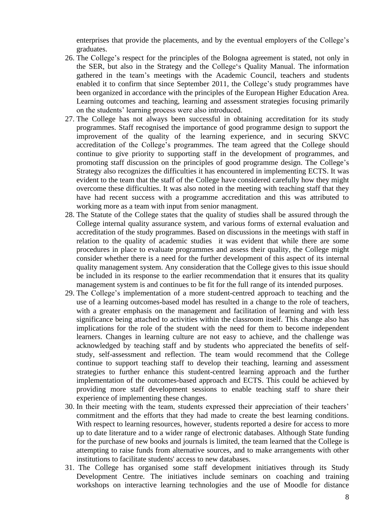enterprises that provide the placements, and by the eventual employers of the College's graduates.

- 26. The College's respect for the principles of the Bologna agreement is stated, not only in the SER, but also in the Strategy and the College's Quality Manual. The information gathered in the team's meetings with the Academic Council, teachers and students enabled it to confirm that since September 2011, the College's study programmes have been organized in accordance with the principles of the European Higher Education Area. Learning outcomes and teaching, learning and assessment strategies focusing primarily on the students' learning process were also introduced.
- 27. The College has not always been successful in obtaining accreditation for its study programmes. Staff recognised the importance of good programme design to support the improvement of the quality of the learning experience, and in securing SKVC accreditation of the College's programmes. The team agreed that the College should continue to give priority to supporting staff in the development of programmes, and promoting staff discussion on the principles of good programme design. The College's Strategy also recognizes the difficulties it has encountered in implementing ECTS. It was evident to the team that the staff of the College have considered carefully how they might overcome these difficulties. It was also noted in the meeting with teaching staff that they have had recent success with a programme accreditation and this was attributed to working more as a team with input from senior managment.
- 28. The Statute of the College states that the quality of studies shall be assured through the College internal quality assurance system, and various forms of external evaluation and accreditation of the study programmes. Based on discussions in the meetings with staff in relation to the quality of academic studies it was evident that while there are some procedures in place to evaluate programmes and assess their quality, the College might consider whether there is a need for the further development of this aspect of its internal quality management system. Any consideration that the College gives to this issue should be included in its response to the earlier recommendation that it ensures that its quality management system is and continues to be fit for the full range of its intended purposes.
- 29. The College's implementation of a more student-centred approach to teaching and the use of a learning outcomes-based model has resulted in a change to the role of teachers, with a greater emphasis on the management and facilitation of learning and with less significance being attached to activities within the classroom itself. This change also has implications for the role of the student with the need for them to become independent learners. Changes in learning culture are not easy to achieve, and the challenge was acknowledged by teaching staff and by students who appreciated the benefits of selfstudy, self-assessment and reflection. The team would recommend that the College continue to support teaching staff to develop their teaching, learning and assessment strategies to further enhance this student-centred learning approach and the further implementation of the outcomes-based approach and ECTS. This could be achieved by providing more staff development sessions to enable teaching staff to share their experience of implementing these changes.
- 30. In their meeting with the team, students expressed their appreciation of their teachers' commitment and the efforts that they had made to create the best learning conditions. With respect to learning resources, however, students reported a desire for access to more up to date literature and to a wider range of electronic databases. Although State funding for the purchase of new books and journals is limited, the team learned that the College is attempting to raise funds from alternative sources, and to make arrangements with other institutions to facilitate students' access to new databases.
- 31. The College has organised some staff development initiatives through its Study Development Centre. The initiatives include seminars on coaching and training workshops on interactive learning technologies and the use of Moodle for distance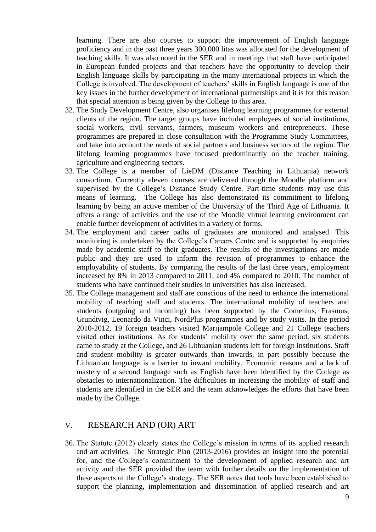learning. There are also courses to support the improvement of English language proficiency and in the past three years 300,000 litas was allocated for the development of teaching skills. It was also noted in the SER and in meetings that staff have participated in European funded projects and that teachers have the opportunity to develop their English language skills by participating in the many international projects in which the College is involved. The development of teachers' skills in English language is one of the key issues in the further development of international partnerships and it is for this reason that special attention is being given by the College to this area.

- 32. The Study Development Centre, also organises lifelong learning programmes for external clients of the region. The target groups have included employees of social institutions, social workers, civil servants, farmers, museum workers and entrepreneurs. These programmes are prepared in close consultation with the Programme Study Committees, and take into account the needs of social partners and business sectors of the region. The lifelong learning programmes have focused predominantly on the teacher training, agriculture and engineering sectors.
- 33. The College is a member of LieDM (Distance Teaching in Lithuania) network consortium. Currently eleven courses are delivered through the Moodle platform and supervised by the College's Distance Study Centre. Part-time students may use this means of learning. The College has also demonstrated its commitment to lifelong learning by being an active member of the University of the Third Age of Lithuania. It offers a range of activities and the use of the Moodle virtual learning environment can enable further development of activities in a variety of forms.
- 34. The employment and career paths of graduates are monitored and analysed. This monitoring is undertaken by the College's Careers Centre and is supported by enquiries made by academic staff to their graduates. The results of the investigations are made public and they are used to inform the revision of programmes to enhance the employability of students. By comparing the results of the last three years, employment increased by 8% in 2013 compared to 2011, and 4% compared to 2010. The number of students who have continued their studies in universities has also increased.
- 35. The College management and staff are conscious of the need to enhance the international mobility of teaching staff and students. The international mobility of teachers and students (outgoing and incoming) has been supported by the Comenius, Erasmus, Grundtvig, Leonardo da Vinci, NordPlus programmes and by study visits. In the period 2010-2012, 19 foreign teachers visited Marijampole College and 21 College teachers visited other institutions. As for students' mobility over the same period, six students came to study at the College, and 26 Lithuanian students left for foreign institutions. Staff and student mobility is greater outwards than inwards, in part possibly because the Lithuanian language is a barrier to inward mobility. Economic reasons and a lack of mastery of a second language such as English have been identified by the College as obstacles to internationalization. The difficulties in increasing the mobility of staff and students are identified in the SER and the team acknowledges the efforts that have been made by the College.

#### V. RESEARCH AND (OR) ART

36. The Statute (2012) clearly states the College's mission in terms of its applied research and art activities. The Strategic Plan (2013-2016) provides an insight into the potential for, and the College's commitment to the development of applied research and art activity and the SER provided the team with further details on the implementation of these aspects of the College's strategy. The SER notes that tools have been established to support the planning, implementation and dissemination of applied research and art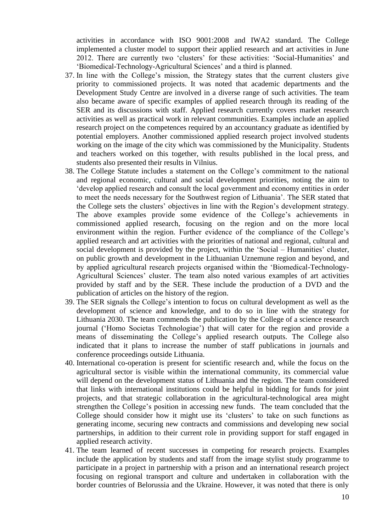activities in accordance with ISO 9001:2008 and IWA2 standard. The College implemented a cluster model to support their applied research and art activities in June 2012. There are currently two 'clusters' for these activities: 'Social-Humanities' and 'Biomedical-Technology-Agricultural Sciences' and a third is planned.

- 37. In line with the College's mission, the Strategy states that the current clusters give priority to commissioned projects. It was noted that academic departments and the Development Study Centre are involved in a diverse range of such activities. The team also became aware of specific examples of applied research through its reading of the SER and its discussions with staff. Applied research currently covers market research activities as well as practical work in relevant communities. Examples include an applied research project on the competences required by an accountancy graduate as identified by potential employers. Another commissioned applied research project involved students working on the image of the city which was commissioned by the Municipality. Students and teachers worked on this together, with results published in the local press, and students also presented their results in Vilnius.
- 38. The College Statute includes a statement on the College's commitment to the national and regional economic, cultural and social development priorities, noting the aim to 'develop applied research and consult the local government and economy entities in order to meet the needs necessary for the Southwest region of Lithuania'. The SER stated that the College sets the clusters' objectives in line with the Region's development strategy. The above examples provide some evidence of the College's achievements in commissioned applied research, focusing on the region and on the more local environment within the region. Further evidence of the compliance of the College's applied research and art activities with the priorities of national and regional, cultural and social development is provided by the project, within the 'Social – Humanities' cluster, on public growth and development in the Lithuanian Uznemune region and beyond, and by applied agricultural research projects organised within the 'Biomedical-Technology-Agricultural Sciences' cluster. The team also noted various examples of art activities provided by staff and by the SER. These include the production of a DVD and the publication of articles on the history of the region.
- 39. The SER signals the College's intention to focus on cultural development as well as the development of science and knowledge, and to do so in line with the strategy for Lithuania 2030. The team commends the publication by the College of a science research journal ('Homo Societas Technologiae') that will cater for the region and provide a means of disseminating the College's applied research outputs. The College also indicated that it plans to increase the number of staff publications in journals and conference proceedings outside Lithuania.
- 40. International co-operation is present for scientific research and, while the focus on the agricultural sector is visible within the international community, its commercial value will depend on the development status of Lithuania and the region. The team considered that links with international institutions could be helpful in bidding for funds for joint projects, and that strategic collaboration in the agricultural-technological area might strengthen the College's position in accessing new funds. The team concluded that the College should consider how it might use its 'clusters' to take on such functions as generating income, securing new contracts and commissions and developing new social partnerships, in addition to their current role in providing support for staff engaged in applied research activity.
- 41. The team learned of recent successes in competing for research projects. Examples include the application by students and staff from the image stylist study programme to participate in a project in partnership with a prison and an international research project focusing on regional transport and culture and undertaken in collaboration with the border countries of Belorussia and the Ukraine. However, it was noted that there is only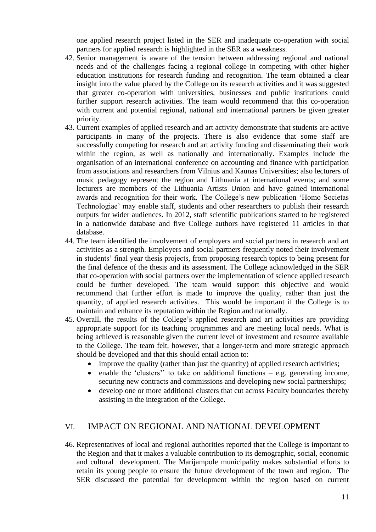one applied research project listed in the SER and inadequate co-operation with social partners for applied research is highlighted in the SER as a weakness.

- 42. Senior management is aware of the tension between addressing regional and national needs and of the challenges facing a regional college in competing with other higher education institutions for research funding and recognition. The team obtained a clear insight into the value placed by the College on its research activities and it was suggested that greater co-operation with universities, businesses and public institutions could further support research activities. The team would recommend that this co-operation with current and potential regional, national and international partners be given greater priority.
- 43. Current examples of applied research and art activity demonstrate that students are active participants in many of the projects. There is also evidence that some staff are successfully competing for research and art activity funding and disseminating their work within the region, as well as nationally and internationally. Examples include the organisation of an international conference on accounting and finance with participation from associations and researchers from Vilnius and Kaunas Universities; also lecturers of music pedagogy represent the region and Lithuania at international events; and some lecturers are members of the Lithuania Artists Union and have gained international awards and recognition for their work. The College's new publication 'Homo Societas Technologiae' may enable staff, students and other researchers to publish their research outputs for wider audiences. In 2012, staff scientific publications started to be registered in a nationwide database and five College authors have registered 11 articles in that database.
- 44. The team identified the involvement of employers and social partners in research and art activities as a strength. Employers and social partners frequently noted their involvement in students' final year thesis projects, from proposing research topics to being present for the final defence of the thesis and its assessment. The College acknowledged in the SER that co-operation with social partners over the implementation of science applied research could be further developed. The team would support this objective and would recommend that further effort is made to improve the quality, rather than just the quantity, of applied research activities. This would be important if the College is to maintain and enhance its reputation within the Region and nationally.
- 45. Overall, the results of the College's applied research and art activities are providing appropriate support for its teaching programmes and are meeting local needs. What is being achieved is reasonable given the current level of investment and resource available to the College. The team felt, however, that a longer-term and more strategic approach should be developed and that this should entail action to:
	- improve the quality (rather than just the quantity) of applied research activities;
	- enable the 'clusters' to take on additional functions e.g. generating income, securing new contracts and commissions and developing new social partnerships;
	- develop one or more additional clusters that cut across Faculty boundaries thereby assisting in the integration of the College.

#### <span id="page-10-0"></span>VI. IMPACT ON REGIONAL AND NATIONAL DEVELOPMENT

46. Representatives of local and regional authorities reported that the College is important to the Region and that it makes a valuable contribution to its demographic, social, economic and cultural development. The Marijampole municipality makes substantial efforts to retain its young people to ensure the future development of the town and region. The SER discussed the potential for development within the region based on current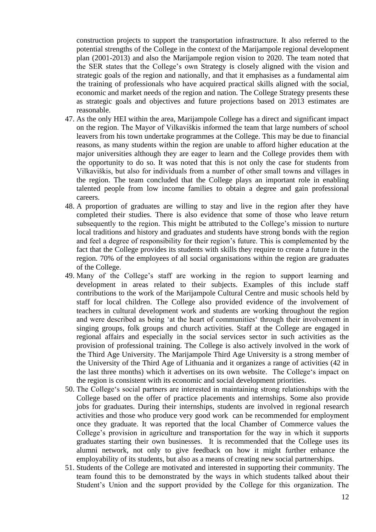construction projects to support the transportation infrastructure. It also referred to the potential strengths of the College in the context of the Marijampole regional development plan (2001-2013) and also the Marijampole region vision to 2020. The team noted that the SER states that the College's own Strategy is closely aligned with the vision and strategic goals of the region and nationally, and that it emphasises as a fundamental aim the training of professionals who have acquired practical skills aligned with the social, economic and market needs of the region and nation. The College Strategy presents these as strategic goals and objectives and future projections based on 2013 estimates are reasonable.

- 47. As the only HEI within the area, Marijampole College has a direct and significant impact on the region. The Mayor of Vilkaviškis informed the team that large numbers of school leavers from his town undertake programmes at the College. This may be due to financial reasons, as many students within the region are unable to afford higher education at the major universities although they are eager to learn and the College provides them with the opportunity to do so. It was noted that this is not only the case for students from Vilkaviškis, but also for individuals from a number of other small towns and villages in the region. The team concluded that the College plays an important role in enabling talented people from low income families to obtain a degree and gain professional careers.
- 48. A proportion of graduates are willing to stay and live in the region after they have completed their studies. There is also evidence that some of those who leave return subsequently to the region. This might be attributed to the College's mission to nurture local traditions and history and graduates and students have strong bonds with the region and feel a degree of responsibility for their region's future. This is complemented by the fact that the College provides its students with skills they require to create a future in the region. 70% of the employees of all social organisations within the region are graduates of the College.
- 49. Many of the College's staff are working in the region to support learning and development in areas related to their subjects. Examples of this include staff contributions to the work of the Marijampole Cultural Centre and music schools held by staff for local children. The College also provided evidence of the involvement of teachers in cultural development work and students are working throughout the region and were described as being 'at the heart of communities' through their involvement in singing groups, folk groups and church activities. Staff at the College are engaged in regional affairs and especially in the social services sector in such activities as the provision of professional training. The College is also actively involved in the work of the Third Age University. The Marijampole Third Age University is a strong member of the University of the Third Age of Lithuania and it organizes a range of activities (42 in the last three months) which it advertises on its own website. The College's impact on the region is consistent with its economic and social development priorities.
- 50. The College's social partners are interested in maintaining strong relationships with the College based on the offer of practice placements and internships. Some also provide jobs for graduates. During their internships, students are involved in regional research activities and those who produce very good work can be recommended for employment once they graduate. It was reported that the local Chamber of Commerce values the College's provision in agriculture and transportation for the way in which it supports graduates starting their own businesses. It is recommended that the College uses its alumni network, not only to give feedback on how it might further enhance the employability of its students, but also as a means of creating new social partnerships.
- 51. Students of the College are motivated and interested in supporting their community. The team found this to be demonstrated by the ways in which students talked about their Student's Union and the support provided by the College for this organization. The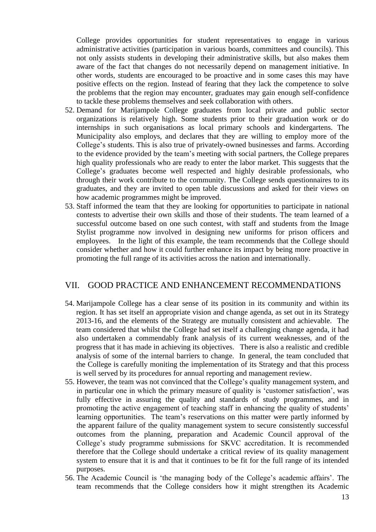College provides opportunities for student representatives to engage in various administrative activities (participation in various boards, committees and councils). This not only assists students in developing their administrative skills, but also makes them aware of the fact that changes do not necessarily depend on management initiative. In other words, students are encouraged to be proactive and in some cases this may have positive effects on the region. Instead of fearing that they lack the competence to solve the problems that the region may encounter, graduates may gain enough self-confidence to tackle these problems themselves and seek collaboration with others.

- 52. Demand for Marijampole College graduates from local private and public sector organizations is relatively high. Some students prior to their graduation work or do internships in such organisations as local primary schools and kindergartens. The Municipality also employs, and declares that they are willing to employ more of the College's students. This is also true of privately-owned businesses and farms. According to the evidence provided by the team's meeting with social partners, the College prepares high quality professionals who are ready to enter the labor market. This suggests that the College's graduates become well respected and highly desirable professionals, who through their work contribute to the community. The College sends questionnaires to its graduates, and they are invited to open table discussions and asked for their views on how academic programmes might be improved.
- 53. Staff informed the team that they are looking for opportunities to participate in national contests to advertise their own skills and those of their students. The team learned of a successful outcome based on one such contest, with staff and students from the Image Stylist programme now involved in designing new uniforms for prison officers and employees. In the light of this example, the team recommends that the College should consider whether and how it could further enhance its impact by being more proactive in promoting the full range of its activities across the nation and internationally.

#### <span id="page-12-0"></span>VII. GOOD PRACTICE AND ENHANCEMENT RECOMMENDATIONS

- 54. Marijampole College has a clear sense of its position in its community and within its region. It has set itself an appropriate vision and change agenda, as set out in its Strategy 2013-16, and the elements of the Strategy are mutually consistent and achievable. The team considered that whilst the College had set itself a challenging change agenda, it had also undertaken a commendably frank analysis of its current weaknesses, and of the progress that it has made in achieving its objectives. There is also a realistic and credible analysis of some of the internal barriers to change. In general, the team concluded that the College is carefully moniting the implementation of its Strategy and that this process is well served by its procedures for annual reporting and management review.
- 55. However, the team was not convinced that the College's quality management system, and in particular one in which the primary measure of quality is 'customer satisfaction', was fully effective in assuring the quality and standards of study programmes, and in promoting the active engagement of teaching staff in enhancing the quality of students' learning opportunities. The team's reservations on this matter were partly informed by the apparent failure of the quality management system to secure consistently successful outcomes from the planning, preparation and Academic Council approval of the College's study programme submissions for SKVC accreditation. It is recommended therefore that the College should undertake a critical review of its quality management system to ensure that it is and that it continues to be fit for the full range of its intended purposes.
- 56. The Academic Council is 'the managing body of the College's academic affairs'. The team recommends that the College considers how it might strengthen its Academic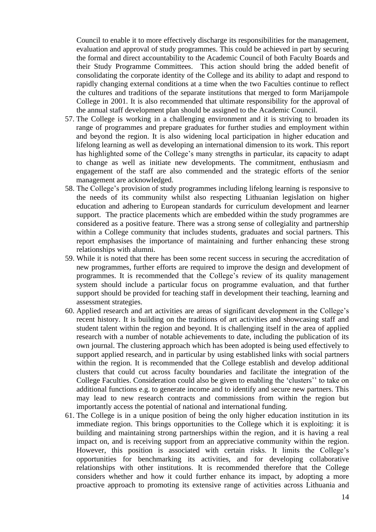Council to enable it to more effectively discharge its responsibilities for the management, evaluation and approval of study programmes. This could be achieved in part by securing the formal and direct accountability to the Academic Council of both Faculty Boards and their Study Programme Committees. This action should bring the added benefit of consolidating the corporate identity of the College and its ability to adapt and respond to rapidly changing external conditions at a time when the two Faculties continue to reflect the cultures and traditions of the separate institutions that merged to form Marijampole College in 2001. It is also recommended that ultimate responsibility for the approval of the annual staff development plan should be assigned to the Academic Council.

- 57. The College is working in a challenging environment and it is striving to broaden its range of programmes and prepare graduates for further studies and employment within and beyond the region. It is also widening local participation in higher education and lifelong learning as well as developing an international dimension to its work. This report has highlighted some of the College's many strengths in particular, its capacity to adapt to change as well as initiate new developments. The commitment, enthusiasm and engagement of the staff are also commended and the strategic efforts of the senior management are acknowledged.
- 58. The College's provision of study programmes including lifelong learning is responsive to the needs of its community whilst also respecting Lithuanian legislation on higher education and adhering to European standards for curriculum development and learner support. The practice placements which are embedded within the study programmes are considered as a positive feature. There was a strong sense of collegiality and partnership within a College community that includes students, graduates and social partners. This report emphasises the importance of maintaining and further enhancing these strong relationships with alumni.
- 59. While it is noted that there has been some recent success in securing the accreditation of new programmes, further efforts are required to improve the design and development of programmes. It is recommended that the College's review of its quality management system should include a particular focus on programme evaluation, and that further support should be provided for teaching staff in development their teaching, learning and assessment strategies.
- 60. Applied research and art activities are areas of significant development in the College's recent history. It is building on the traditions of art activities and showcasing staff and student talent within the region and beyond. It is challenging itself in the area of applied research with a number of notable achievements to date, including the publication of its own journal. The clustering approach which has been adopted is being used effectively to support applied research, and in particular by using established links with social partners within the region. It is recommended that the College establish and develop additional clusters that could cut across faculty boundaries and facilitate the integration of the College Faculties. Consideration could also be given to enabling the 'clusters'' to take on additional functions e.g. to generate income and to identify and secure new partners. This may lead to new research contracts and commissions from within the region but importantly access the potential of national and international funding.
- 61. The College is in a unique position of being the only higher education institution in its immediate region. This brings opportunities to the College which it is exploiting: it is building and maintaining strong partnerships within the region, and it is having a real impact on, and is receiving support from an appreciative community within the region. However, this position is associated with certain risks. It limits the College's opportunities for benchmarking its activities, and for developing collaborative relationships with other institutions. It is recommended therefore that the College considers whether and how it could further enhance its impact, by adopting a more proactive approach to promoting its extensive range of activities across Lithuania and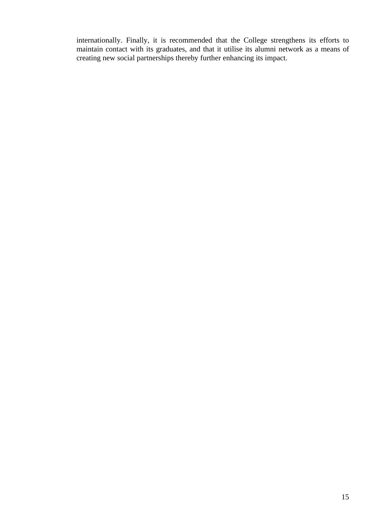internationally. Finally, it is recommended that the College strengthens its efforts to maintain contact with its graduates, and that it utilise its alumni network as a means of creating new social partnerships thereby further enhancing its impact.